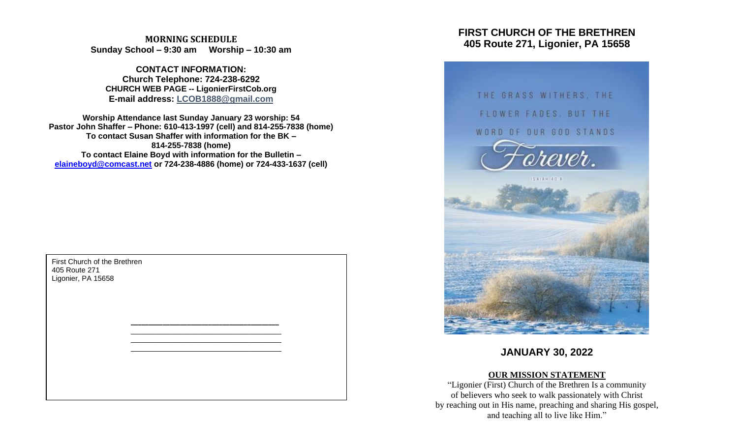**MORNING SCHEDULE Sunday School – 9:30 am Worship – 10:30 am**

**CONTACT INFORMATION: Church Telephone: 724-238-6292 CHURCH WEB PAGE -- LigonierFirstCob.org E-mail address: LCOB1888@gmail.com**

**Worship Attendance last Sunday January 23 worship: 54 Pastor John Shaffer – Phone: 610-413-1997 (cell) and 814-255-7838 (home) To contact Susan Shaffer with information for the BK – 814-255-7838 (home) To contact Elaine Boyd with information for the Bulletin – [elaineboyd@comcast.net](mailto:elaineboyd@comcast.net) or 724-238-4886 (home) or 724-433-1637 (cell)**

> **\_\_\_\_\_\_\_\_\_\_\_\_\_\_\_\_\_\_\_\_\_\_\_\_\_\_\_\_\_\_\_\_\_\_\_\_\_\_\_\_\_\_** \_\_\_\_\_\_\_\_\_\_\_\_\_\_\_\_\_\_\_\_\_\_\_\_\_\_\_\_\_\_\_\_\_\_\_\_\_ \_\_\_\_\_\_\_\_\_\_\_\_\_\_\_\_\_\_\_\_\_\_\_\_\_\_\_\_\_\_\_\_\_\_\_\_\_ \_\_\_\_\_\_\_\_\_\_\_\_\_\_\_\_\_\_\_\_\_\_\_\_\_\_\_\_\_\_\_\_\_\_\_\_\_

First Church of the Brethren 405 Route 271 Ligonier, PA 15658

# **FIRST CHURCH OF THE BRETHREN 405 Route 271, Ligonier, PA 15658**



# **JANUARY 30, 2022**

# **OUR MISSION STATEMENT**

"Ligonier (First) Church of the Brethren Is a community of believers who seek to walk passionately with Christ by reaching out in His name, preaching and sharing His gospel, and teaching all to live like Him."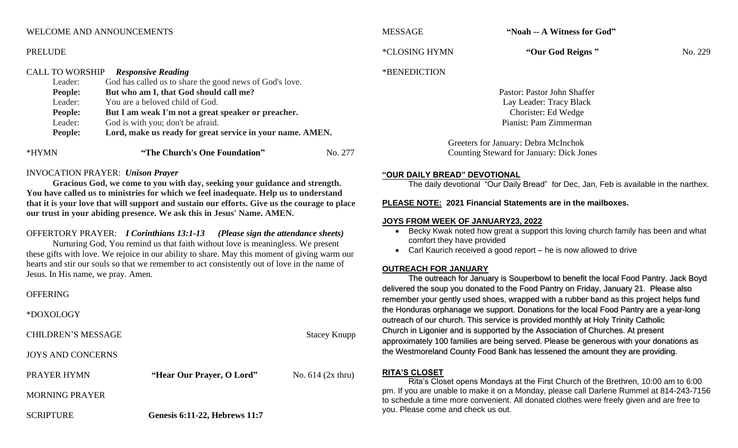# WELCOME AND ANNOUNCEMENTS

#### PRELUDE

#### CALL TO WORSHIP *Responsive Reading* Leader: God has called us to share the good news of God's love.

# **People: But who am I, that God should call me?**

- Leader: You are a beloved child of God.
- **People: But I am weak I'm not a great speaker or preacher.**
- Leader: God is with you; don't be afraid.
- **People: Lord, make us ready for great service in your name. AMEN.**

| *HYMN<br>"The Church's One Foundation" | No. 277 |
|----------------------------------------|---------|
|----------------------------------------|---------|

# INVOCATION PRAYER: *Unison Prayer*

**Gracious God, we come to you with day, seeking your guidance and strength. You have called us to ministries for which we feel inadequate. Help us to understand that it is your love that will support and sustain our efforts. Give us the courage to place our trust in your abiding presence. We ask this in Jesus' Name. AMEN.**

# OFFERTORY PRAYER: *I Corinthians 13:1-13 (Please sign the attendance sheets)*

Nurturing God, You remind us that faith without love is meaningless. We present these gifts with love. We rejoice in our ability to share. May this moment of giving warm our hearts and stir our souls so that we remember to act consistently out of love in the name of Jesus. In His name, we pray. Amen.

# **OFFERING**

\*DOXOLOGY

CHILDREN'S MESSAGE Stacey Knupp

JOYS AND CONCERNS

# PRAYER HYMN **"Hear Our Prayer, O Lord"** No. 614 (2x thru)

MORNING PRAYER

SCRIPTURE **Genesis 6:11-22, Hebrews 11:7**

MESSAGE **"Noah -- A Witness for God"**

\*CLOSING HYMN **"Our God Reigns "** No. 229

# \*BENEDICTION

Pastor: Pastor John Shaffer Lay Leader: Tracy Black Chorister: Ed Wedge Pianist: Pam Zimmerman

Greeters for January: Debra McInchok Counting Steward for January: Dick Jones

#### **"OUR DAILY BREAD" DEVOTIONAL**

The daily devotional "Our Daily Bread" for Dec, Jan, Feb is available in the narthex.

# **PLEASE NOTE: 2021 Financial Statements are in the mailboxes.**

# **JOYS FROM WEEK OF JANUARY23, 2022**

- Becky Kwak noted how great a support this loving church family has been and what comfort they have provided
- Carl Kaurich received a good report he is now allowed to drive

# **OUTREACH FOR JANUARY**

The outreach for January is Souperbowl to benefit the local Food Pantry. Jack Boyd delivered the soup you donated to the Food Pantry on Friday, January 21. Please also remember your gently used shoes, wrapped with a rubber band as this project helps fund the Honduras orphanage we support. Donations for the local Food Pantry are a year-long outreach of our church. This service is provided monthly at Holy Trinity Catholic Church in Ligonier and is supported by the Association of Churches. At present approximately 100 families are being served. Please be generous with your donations as the Westmoreland County Food Bank has lessened the amount they are providing.

# **RITA'S CLOSET**

Rita's Closet opens Mondays at the First Church of the Brethren, 10:00 am to 6:00 pm. If you are unable to make it on a Monday, please call Darlene Rummel at 814-243-7156 to schedule a time more convenient. All donated clothes were freely given and are free to you. Please come and check us out.